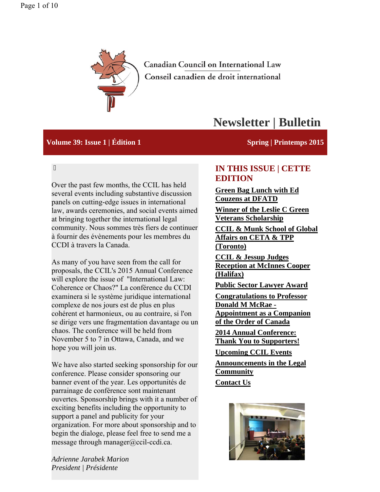

Canadian Council on International Law Conseil canadien de droit international

# **Newsletter | Bulletin**

#### **Volume 39: Issue 1 | Édition 1** Spring | Printemps 2015

 $\overline{\phantom{a}}$ 

Over the past few months, the CCIL has held several events including substantive discussion panels on cutting-edge issues in international law, awards ceremonies, and social events aimed at bringing together the international legal community. Nous sommes très fiers de continuer à fournir des évènements pour les membres du CCDI à travers la Canada.

As many of you have seen from the call for proposals, the CCIL's 2015 Annual Conference will explore the issue of "International Law: Coherence or Chaos?" La conférence du CCDI examinera si le système juridique international complexe de nos jours est de plus en plus cohérent et harmonieux, ou au contraire, si l'on se dirige vers une fragmentation davantage ou un chaos. The conference will be held from November 5 to 7 in Ottawa, Canada, and we hope you will join us.

We have also started seeking sponsorship for our conference. Please consider sponsoring our banner event of the year. Les opportunités de parrainage de conférence sont maintenant ouvertes. Sponsorship brings with it a number of exciting benefits including the opportunity to support a panel and publicity for your organization. For more about sponsorship and to begin the dialoge, please feel free to send me a message through manager@ccil-ccdi.ca.

**IN THIS ISSUE | CETTE EDITION**

**Green Bag Lunch with Ed Couzens at DFATD**

**Winner of the Leslie C Green Veterans Scholarship**

**CCIL & Munk School of Global Affairs on CETA & TPP (Toronto)**

**CCIL & Jessup Judges Reception at McInnes Cooper (Halifax)**

**Public Sector Lawyer Award**

**Congratulations to Professor Donald M McRae - Appointment as a Companion of the Order of Canada**

**2014 Annual Conference: Thank You to Supporters!**

**Upcoming CCIL Events**

**Announcements in the Legal Community Contact Us**



*Adrienne Jarabek Marion President | Présidente*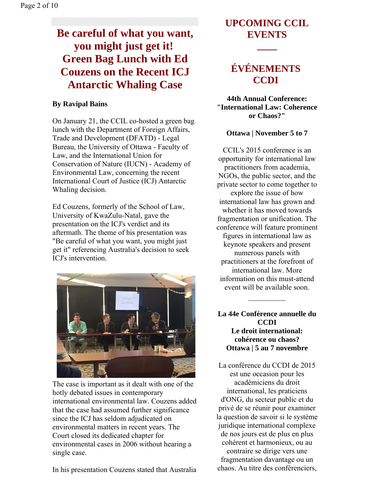# **Be careful of what you want, you might just get it! Green Bag Lunch with Ed Couzens on the Recent ICJ Antarctic Whaling Case**

### **By Ravipal Bains**

On January 21, the CCIL co-hosted a green bag lunch with the Department of Foreign Affairs, Trade and Development (DFATD) - Legal Bureau, the University of Ottawa - Faculty of Law, and the International Union for Conservation of Nature (IUCN) - Academy of Environmental Law, concerning the recent International Court of Justice (ICJ) Antarctic Whaling decision.

Ed Couzens, formerly of the School of Law, University of KwaZulu-Natal, gave the presentation on the ICJ's verdict and its aftermath. The theme of his presentation was "Be careful of what you want, you might just get it" referencing Australia's decision to seek ICJ's intervention.



The case is important as it dealt with one of the hotly debated issues in contemporary international environmental law. Couzens added that the case had assumed further significance since the ICJ has seldom adjudicated on environmental matters in recent years. The Court closed its dedicated chapter for environmental cases in 2006 without hearing a single case.

In his presentation Couzens stated that Australia

### **UPCOMING CCIL EVENTS**

**\_\_\_\_**

### **ÉVÉNEMENTS CCDI**

**44th Annual Conference: "International Law: Coherence or Chaos?"**

### **Ottawa | November 5 to 7**

CCIL's 2015 conference is an opportunity for international law practitioners from academia, NGOs, the public sector, and the private sector to come together to explore the issue of how international law has grown and whether it has moved towards fragmentation or unification. The conference will feature prominent figures in international law as keynote speakers and present numerous panels with practitioners at the forefront of international law. More information on this must-attend event will be available soon.

**La 44e Conférence annuelle du CCDI Le droit international: cohérence ou chaos? Ottawa | 5 au 7 novembre**

 $\frac{1}{2}$ 

La conférence du CCDI de 2015 est une occasion pour les académiciens du droit international, les praticiens d'ONG, du secteur public et du privé de se réunir pour examiner la question de savoir si le système juridique international complexe de nos jours est de plus en plus cohérent et harmonieux, ou au contraire se dirige vers une fragmentation davantage ou un chaos. Au titre des conférenciers,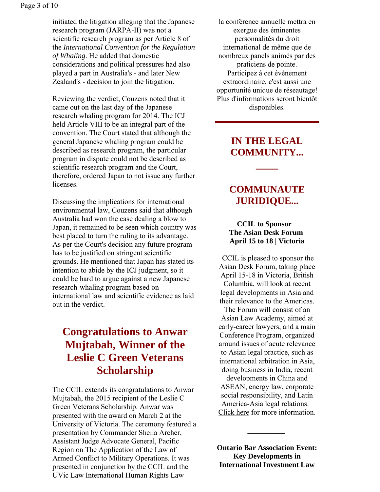initiated the litigation alleging that the Japanese research program (JARPA-II) was not a scientific research program as per Article 8 of the *International Convention for the Regulation of Whaling*. He added that domestic considerations and political pressures had also played a part in Australia's - and later New Zealand's - decision to join the litigation.

Reviewing the verdict, Couzens noted that it came out on the last day of the Japanese research whaling program for 2014. The ICJ held Article VIII to be an integral part of the convention. The Court stated that although the general Japanese whaling program could be described as research program, the particular program in dispute could not be described as scientific research program and the Court, therefore, ordered Japan to not issue any further licenses.

Discussing the implications for international environmental law, Couzens said that although Australia had won the case dealing a blow to Japan, it remained to be seen which country was best placed to turn the ruling to its advantage. As per the Court's decision any future program has to be justified on stringent scientific grounds. He mentioned that Japan has stated its intention to abide by the ICJ judgment, so it could be hard to argue against a new Japanese research-whaling program based on international law and scientific evidence as laid out in the verdict.

### **Congratulations to Anwar Mujtabah, Winner of the Leslie C Green Veterans Scholarship**

The CCIL extends its congratulations to Anwar Mujtabah, the 2015 recipient of the Leslie C Green Veterans Scholarship. Anwar was presented with the award on March 2 at the University of Victoria. The ceremony featured a presentation by Commander Sheila Archer, Assistant Judge Advocate General, Pacific Region on The Application of the Law of Armed Conflict to Military Operations. It was presented in conjunction by the CCIL and the UVic Law International Human Rights Law

la conférence annuelle mettra en exergue des éminentes personnalités du droit international de même que de nombreux panels animés par des praticiens de pointe. Participez à cet évènement extraordinaire, c'est aussi une opportunité unique de réseautage! Plus d'informations seront bientôt disponibles.

### **IN THE LEGAL COMMUNITY...**

**\_\_\_\_**

### **COMMUNAUTE JURIDIQUE...**

### **CCIL to Sponsor The Asian Desk Forum April 15 to 18 | Victoria**

CCIL is pleased to sponsor the Asian Desk Forum, taking place April 15-18 in Victoria, British Columbia, will look at recent legal developments in Asia and their relevance to the Americas.

The Forum will consist of an Asian Law Academy, aimed at early-career lawyers, and a main Conference Program, organized around issues of acute relevance to Asian legal practice, such as international arbitration in Asia, doing business in India, recent

developments in China and ASEAN, energy law, corporate social responsibility, and Latin America-Asia legal relations. Click here for more information.

**Ontario Bar Association Event: Key Developments in International Investment Law** 

**\_\_\_\_\_\_\_\_\_\_**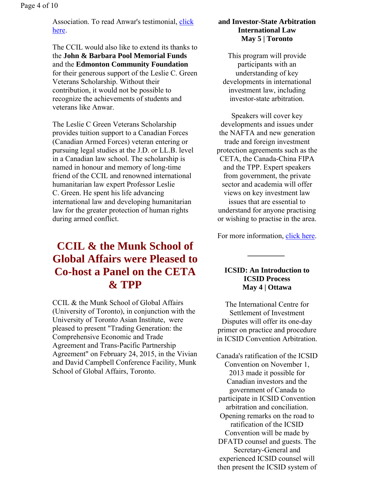Page 4 of 10

Association. To read Anwar's testimonial, click here.

The CCIL would also like to extend its thanks to the **John & Barbara Pool Memorial Funds** and the **Edmonton Community Foundation** for their generous support of the Leslie C. Green Veterans Scholarship. Without their contribution, it would not be possible to recognize the achievements of students and veterans like Anwar.

The Leslie C Green Veterans Scholarship provides tuition support to a Canadian Forces (Canadian Armed Forces) veteran entering or pursuing legal studies at the J.D. or LL.B. level in a Canadian law school. The scholarship is named in honour and memory of long-time friend of the CCIL and renowned international humanitarian law expert Professor Leslie C. Green. He spent his life advancing international law and developing humanitarian law for the greater protection of human rights during armed conflict.

### **CCIL & the Munk School of Global Affairs were Pleased to Co-host a Panel on the CETA & TPP**

CCIL & the Munk School of Global Affairs (University of Toronto), in conjunction with the University of Toronto Asian Institute, were pleased to present "Trading Generation: the Comprehensive Economic and Trade Agreement and Trans-Pacific Partnership Agreement" on February 24, 2015, in the Vivian and David Campbell Conference Facility, Munk School of Global Affairs, Toronto.

#### **and Investor-State Arbitration International Law May 5 | Toronto**

This program will provide participants with an understanding of key developments in international investment law, including investor-state arbitration.

Speakers will cover key developments and issues under the NAFTA and new generation trade and foreign investment protection agreements such as the CETA, the Canada-China FIPA and the TPP. Expert speakers from government, the private sector and academia will offer views on key investment law issues that are essential to understand for anyone practising or wishing to practise in the area.

For more information, click here.

**\_\_\_\_\_\_\_\_\_\_** 

#### **ICSID: An Introduction to ICSID Process May 4 | Ottawa**

The International Centre for Settlement of Investment Disputes will offer its one-day primer on practice and procedure in ICSID Convention Arbitration.

Canada's ratification of the ICSID Convention on November 1, 2013 made it possible for Canadian investors and the government of Canada to participate in ICSID Convention arbitration and conciliation. Opening remarks on the road to ratification of the ICSID Convention will be made by DFATD counsel and guests. The Secretary-General and experienced ICSID counsel will then present the ICSID system of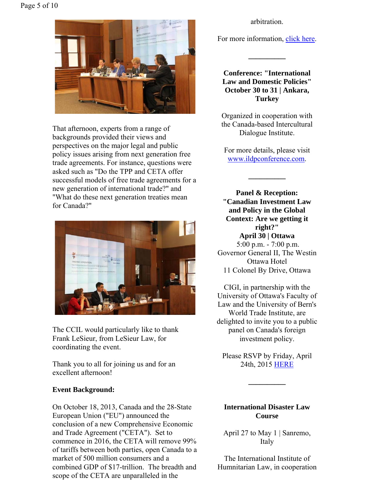

That afternoon, experts from a range of backgrounds provided their views and perspectives on the major legal and public policy issues arising from next generation free trade agreements. For instance, questions were asked such as "Do the TPP and CETA offer successful models of free trade agreements for a new generation of international trade?" and "What do these next generation treaties mean for Canada?"



The CCIL would particularly like to thank Frank LeSieur, from LeSieur Law, for coordinating the event.

Thank you to all for joining us and for an excellent afternoon!

### **Event Background:**

On October 18, 2013, Canada and the 28-State European Union ("EU") announced the conclusion of a new Comprehensive Economic and Trade Agreement ("CETA"). Set to commence in 2016, the CETA will remove 99% of tariffs between both parties, open Canada to a market of 500 million consumers and a combined GDP of \$17-trillion. The breadth and scope of the CETA are unparalleled in the

arbitration.

For more information, click here.

**\_\_\_\_\_\_\_\_\_\_**

**Conference: "International Law and Domestic Policies" October 30 to 31 | Ankara, Turkey**

Organized in cooperation with the Canada-based Intercultural Dialogue Institute.

For more details, please visit www.ildpconference.com.

**\_\_\_\_\_\_\_\_\_\_**

**Panel & Reception: "Canadian Investment Law and Policy in the Global Context: Are we getting it right?" April 30 | Ottawa** 5:00 p.m. - 7:00 p.m. Governor General II, The Westin Ottawa Hotel 11 Colonel By Drive, Ottawa

CIGI, in partnership with the University of Ottawa's Faculty of Law and the University of Bern's World Trade Institute, are delighted to invite you to a public panel on Canada's foreign investment policy.

Please RSVP by Friday, April 24th, 2015 HERE

**\_\_\_\_\_\_\_\_\_\_**

### **International Disaster Law Course**

April 27 to May 1 | Sanremo, Italy

The International Institute of Humnitarian Law, in cooperation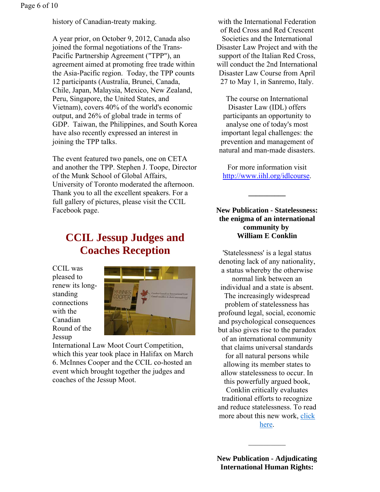history of Canadian-treaty making.

A year prior, on October 9, 2012, Canada also joined the formal negotiations of the Trans-Pacific Partnership Agreement ("TPP"), an agreement aimed at promoting free trade within the Asia-Pacific region. Today, the TPP counts 12 participants (Australia, Brunei, Canada, Chile, Japan, Malaysia, Mexico, New Zealand, Peru, Singapore, the United States, and Vietnam), covers 40% of the world's economic output, and 26% of global trade in terms of GDP. Taiwan, the Philippines, and South Korea have also recently expressed an interest in joining the TPP talks.

The event featured two panels, one on CETA and another the TPP. Stephen J. Toope, Director of the Munk School of Global Affairs, University of Toronto moderated the afternoon. Thank you to all the excellent speakers. For a full gallery of pictures, please visit the CCIL Facebook page.

### **CCIL Jessup Judges and Coaches Reception**

CCIL was pleased to renew its longstanding connections with the Canadian Round of the Jessup



International Law Moot Court Competition, which this year took place in Halifax on March 6. McInnes Cooper and the CCIL co-hosted an event which brought together the judges and coaches of the Jessup Moot.

with the International Federation of Red Cross and Red Crescent Societies and the International Disaster Law Project and with the support of the Italian Red Cross, will conduct the 2nd International Disaster Law Course from April 27 to May 1, in Sanremo, Italy.

The course on International Disaster Law (IDL) offers participants an opportunity to analyse one of today's most important legal challenges: the prevention and management of natural and man-made disasters.

For more information visit http://www.iihl.org/idlcourse.

**\_\_\_\_\_\_\_\_\_\_**

### **New Publication - Statelessness: the enigma of an international community by William E Conklin**

'Statelessness' is a legal status denoting lack of any nationality, a status whereby the otherwise normal link between an individual and a state is absent. The increasingly widespread problem of statelessness has profound legal, social, economic and psychological consequences but also gives rise to the paradox of an international community that claims universal standards for all natural persons while allowing its member states to allow statelessness to occur. In this powerfully argued book, Conklin critically evaluates traditional efforts to recognize and reduce statelessness. To read more about this new work, click

here.

 $\frac{1}{2}$ 

**New Publication - Adjudicating International Human Rights:**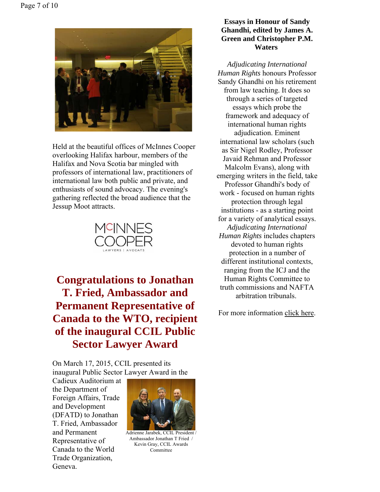

Held at the beautiful offices of McInnes Cooper overlooking Halifax harbour, members of the Halifax and Nova Scotia bar mingled with professors of international law, practitioners of international law both public and private, and enthusiasts of sound advocacy. The evening's gathering reflected the broad audience that the Jessup Moot attracts.



**Congratulations to Jonathan T. Fried, Ambassador and Permanent Representative of Canada to the WTO, recipient of the inaugural CCIL Public Sector Lawyer Award**

On March 17, 2015, CCIL presented its inaugural Public Sector Lawyer Award in the

Cadieux Auditorium at the Department of Foreign Affairs, Trade and Development (DFATD) to Jonathan T. Fried, Ambassador and Permanent Representative of Canada to the World Trade Organization, Geneva.



Adrienne Jarabek, CCIL President / Ambassador Jonathan T Fried / Kevin Gray, CCIL Awards Committee

#### **Essays in Honour of Sandy Ghandhi, edited by James A. Green and Christopher P.M. Waters**

*Adjudicating International Human Rights* honours Professor Sandy Ghandhi on his retirement from law teaching. It does so through a series of targeted essays which probe the framework and adequacy of international human rights adjudication. Eminent international law scholars (such as Sir Nigel Rodley, Professor Javaid Rehman and Professor Malcolm Evans), along with emerging writers in the field, take Professor Ghandhi's body of work - focused on human rights protection through legal institutions - as a starting point for a variety of analytical essays. *Adjudicating International Human Rights* includes chapters devoted to human rights protection in a number of different institutional contexts, ranging from the ICJ and the Human Rights Committee to truth commissions and NAFTA arbitration tribunals.

For more information click here.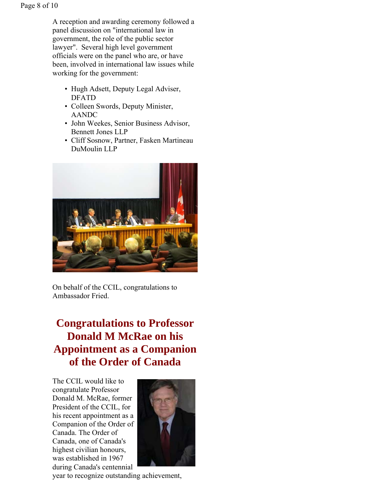A reception and awarding ceremony followed a panel discussion on "international law in government, the role of the public sector lawyer". Several high level government officials were on the panel who are, or have been, involved in international law issues while working for the government:

- Hugh Adsett, Deputy Legal Adviser, DFATD
- Colleen Swords, Deputy Minister, AANDC
- John Weekes, Senior Business Advisor, Bennett Jones LLP
- Cliff Sosnow, Partner, Fasken Martineau DuMoulin LLP



On behalf of the CCIL, congratulations to Ambassador Fried.

# **Congratulations to Professor Donald M McRae on his Appointment as a Companion of the Order of Canada**

The CCIL would like to congratulate Professor Donald M. McRae, former President of the CCIL, for his recent appointment as a Companion of the Order of Canada. The Order of Canada, one of Canada's highest civilian honours, was established in 1967 during Canada's centennial



year to recognize outstanding achievement,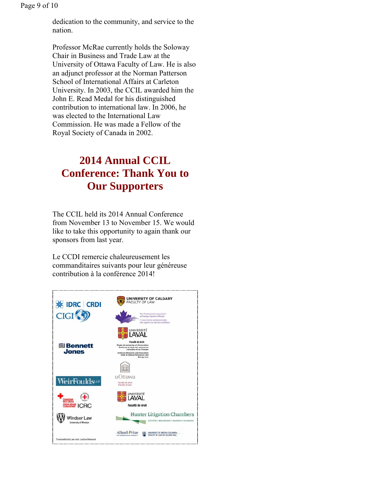Page 9 of 10

dedication to the community, and service to the nation.

Professor McRae currently holds the Soloway Chair in Business and Trade Law at the University of Ottawa Faculty of Law. He is also an adjunct professor at the Norman Patterson School of International Affairs at Carleton University. In 2003, the CCIL awarded him the John E. Read Medal for his distinguished contribution to international law. In 2006, he was elected to the International Law Commission. He was made a Fellow of the Royal Society of Canada in 2002.

# **2014 Annual CCIL Conference: Thank You to Our Supporters**

The CCIL held its 2014 Annual Conference from November 13 to November 15. We would like to take this opportunity to again thank our sponsors from last year.

Le CCDI remercie chaleureusement les commanditaires suivants pour leur généreuse contribution à la conférence 2014!